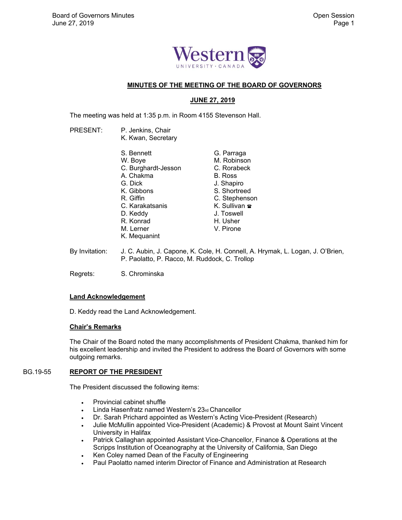

# **MINUTES OF THE MEETING OF THE BOARD OF GOVERNORS**

# **JUNE 27, 2019**

The meeting was held at 1:35 p.m. in Room 4155 Stevenson Hall.

- PRESENT: P. Jenkins, Chair K. Kwan, Secretary S. Bennett W. Boye C. Burghardt-Jesson A. Chakma G. Dick K. Gibbons R. Giffin C. Karakatsanis D. Keddy R. Konrad M. Lerner K. Mequanint G. Parraga M. Robinson C. Rorabeck B. Ross J. Shapiro S. Shortreed C. Stephenson K. Sullivan **<sub>■</sub>** J. Toswell H. Usher V. Pirone
- By Invitation: J. C. Aubin, J. Capone, K. Cole, H. Connell, A. Hrymak, L. Logan, J. O'Brien, P. Paolatto, P. Racco, M. Ruddock, C. Trollop

Regrets: S. Chrominska

### **Land Acknowledgement**

D. Keddy read the Land Acknowledgement.

# **Chair's Remarks**

 The Chair of the Board noted the many accomplishments of President Chakma, thanked him for his excellent leadership and invited the President to address the Board of Governors with some outgoing remarks.

# BG.19-55 **REPORT OF THE PRESIDENT**

The President discussed the following items:

- Provincial cabinet shuffle
- Linda Hasenfratz named Western's 23rd Chancellor
- Dr. Sarah Prichard appointed as Western's Acting Vice-President (Research)
- Julie McMullin appointed Vice-President (Academic) & Provost at Mount Saint Vincent University in Halifax
- Patrick Callaghan appointed Assistant Vice-Chancellor, Finance & Operations at the Scripps Institution of Oceanography at the University of California, San Diego
- Ken Coley named Dean of the Faculty of Engineering
- Paul Paolatto named interim Director of Finance and Administration at Research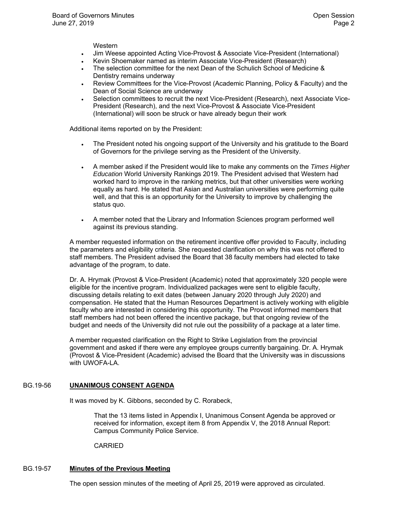Western

- Jim Weese appointed Acting Vice-Provost & Associate Vice-President (International)
- Kevin Shoemaker named as interim Associate Vice-President (Research)
- The selection committee for the next Dean of the Schulich School of Medicine & Dentistry remains underway
- Review Committees for the Vice-Provost (Academic Planning, Policy & Faculty) and the Dean of Social Science are underway
- Selection committees to recruit the next Vice-President (Research), next Associate Vice-President (Research), and the next Vice-Provost & Associate Vice-President (International) will soon be struck or have already begun their work

Additional items reported on by the President:

- The President noted his ongoing support of the University and his gratitude to the Board of Governors for the privilege serving as the President of the University.
- A member asked if the President would like to make any comments on the *Times Higher Education* World University Rankings 2019. The President advised that Western had worked hard to improve in the ranking metrics, but that other universities were working equally as hard. He stated that Asian and Australian universities were performing quite well, and that this is an opportunity for the University to improve by challenging the status quo.
- A member noted that the Library and Information Sciences program performed well against its previous standing.

A member requested information on the retirement incentive offer provided to Faculty, including the parameters and eligibility criteria. She requested clarification on why this was not offered to staff members. The President advised the Board that 38 faculty members had elected to take advantage of the program, to date.

Dr. A. Hrymak (Provost & Vice-President (Academic) noted that approximately 320 people were eligible for the incentive program. Individualized packages were sent to eligible faculty, discussing details relating to exit dates (between January 2020 through July 2020) and compensation. He stated that the Human Resources Department is actively working with eligible faculty who are interested in considering this opportunity. The Provost informed members that staff members had not been offered the incentive package, but that ongoing review of the budget and needs of the University did not rule out the possibility of a package at a later time.

A member requested clarification on the Right to Strike Legislation from the provincial government and asked if there were any employee groups currently bargaining. Dr. A. Hrymak (Provost & Vice-President (Academic) advised the Board that the University was in discussions with UWOFA-LA.

### BG.19-56 **UNANIMOUS CONSENT AGENDA**

It was moved by K. Gibbons, seconded by C. Rorabeck,

That the 13 items listed in Appendix I, Unanimous Consent Agenda be approved or received for information, except item 8 from Appendix V, the 2018 Annual Report: Campus Community Police Service.

CARRIED

### BG.19-57 **Minutes of the Previous Meeting**

The open session minutes of the meeting of April 25, 2019 were approved as circulated.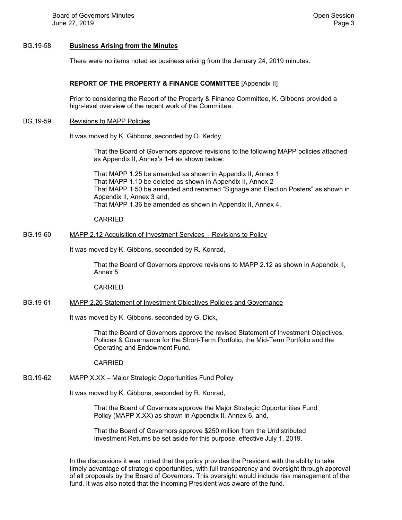#### BG.19-58 **Business Arising from the Minutes**

There were no items noted as business arising from the January 24, 2019 minutes.

### **REPORT OF THE PROPERTY & FINANCE COMMITTEE** [Appendix II]

 Prior to considering the Report of the Property & Finance Committee, K. Gibbons provided a high-level overview of the recent work of the Committee.

BG.19-59 Revisions to MAPP Policies

It was moved by K. Gibbons, seconded by D. Keddy,

That the Board of Governors approve revisions to the following MAPP policies attached as Appendix II, Annex's 1-4 as shown below:

That MAPP 1.25 be amended as shown in Appendix II, Annex 1 That MAPP 1.10 be deleted as shown in Appendix II, Annex 2 That MAPP 1.50 be amended and renamed "Signage and Election Posters" as shown in Appendix II, Annex 3 and, That MAPP 1.36 be amended as shown in Appendix II, Annex 4.

CARRIED

# BG.19-60 MAPP 2.12 Acquisition of Investment Services – Revisions to Policy

It was moved by K. Gibbons, seconded by R. Konrad,

That the Board of Governors approve revisions to MAPP 2.12 as shown in Appendix II, Annex 5.

CARRIED

#### BG.19-61 MAPP 2.26 Statement of Investment Objectives Policies and Governance

It was moved by K. Gibbons, seconded by G. Dick,

That the Board of Governors approve the revised Statement of Investment Objectives, Policies & Governance for the Short-Term Portfolio, the Mid-Term Portfolio and the Operating and Endowment Fund.

CARRIED

# BG.19-62 MAPP X.XX – Major Strategic Opportunities Fund Policy

It was moved by K. Gibbons, seconded by R. Konrad,

That the Board of Governors approve the Major Strategic Opportunities Fund Policy (MAPP X.XX) as shown in Appendix II, Annex 6, and,

That the Board of Governors approve \$250 million from the Undistributed Investment Returns be set aside for this purpose, effective July 1, 2019.

In the discussions it was noted that the policy provides the President with the ability to take timely advantage of strategic opportunities, with full transparency and oversight through approval of all proposals by the Board of Governors. This oversight would include risk management of the fund. It was also noted that the incoming President was aware of the fund.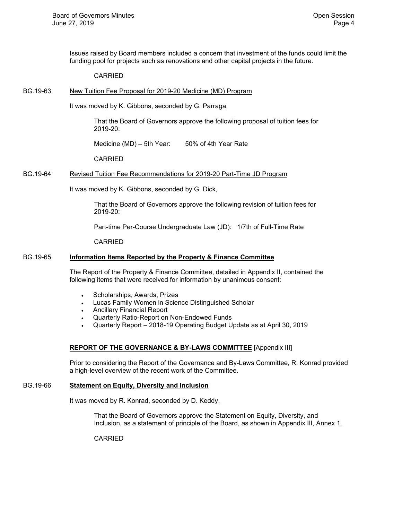Issues raised by Board members included a concern that investment of the funds could limit the funding pool for projects such as renovations and other capital projects in the future.

#### CARRIED

#### BG.19-63 New Tuition Fee Proposal for 2019-20 Medicine (MD) Program

It was moved by K. Gibbons, seconded by G. Parraga,

That the Board of Governors approve the following proposal of tuition fees for 2019-20:

Medicine (MD) – 5th Year: 50% of 4th Year Rate

CARRIED

### BG.19-64 Revised Tuition Fee Recommendations for 2019-20 Part-Time JD Program

It was moved by K. Gibbons, seconded by G. Dick,

That the Board of Governors approve the following revision of tuition fees for 2019-20:

Part-time Per-Course Undergraduate Law (JD): 1/7th of Full-Time Rate

CARRIED

# BG.19-65 **Information Items Reported by the Property & Finance Committee**

 The Report of the Property & Finance Committee, detailed in Appendix II, contained the following items that were received for information by unanimous consent:

- Scholarships, Awards, Prizes
- Lucas Family Women in Science Distinguished Scholar
- Ancillary Financial Report
- Quarterly Ratio-Report on Non-Endowed Funds
- Quarterly Report 2018-19 Operating Budget Update as at April 30, 2019

### **REPORT OF THE GOVERNANCE & BY-LAWS COMMITTEE** [Appendix III]

 Prior to considering the Report of the Governance and By-Laws Committee, R. Konrad provided a high-level overview of the recent work of the Committee.

### BG.19-66 **Statement on Equity, Diversity and Inclusion**

It was moved by R. Konrad, seconded by D. Keddy,

That the Board of Governors approve the Statement on Equity, Diversity, and Inclusion, as a statement of principle of the Board, as shown in Appendix III, Annex 1.

CARRIED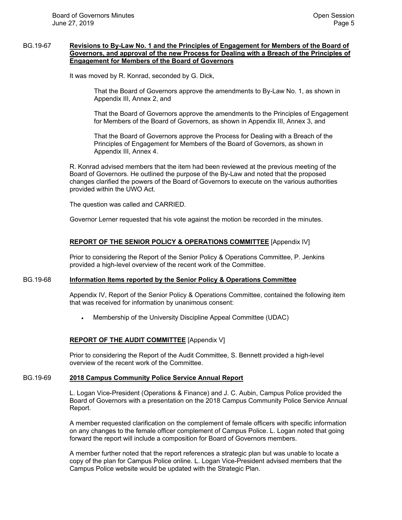### BG.19-67 **Revisions to By-Law No. 1 and the Principles of Engagement for Members of the Board of Governors, and approval of the new Process for Dealing with a Breach of the Principles of Engagement for Members of the Board of Governors**

It was moved by R. Konrad, seconded by G. Dick,

That the Board of Governors approve the amendments to By-Law No. 1, as shown in Appendix III, Annex 2, and

That the Board of Governors approve the amendments to the Principles of Engagement for Members of the Board of Governors, as shown in Appendix III, Annex 3, and

That the Board of Governors approve the Process for Dealing with a Breach of the Principles of Engagement for Members of the Board of Governors, as shown in Appendix III, Annex 4.

R. Konrad advised members that the item had been reviewed at the previous meeting of the Board of Governors. He outlined the purpose of the By-Law and noted that the proposed changes clarified the powers of the Board of Governors to execute on the various authorities provided within the UWO Act.

The question was called and CARRIED.

Governor Lerner requested that his vote against the motion be recorded in the minutes.

### **REPORT OF THE SENIOR POLICY & OPERATIONS COMMITTEE** [Appendix IV]

 Prior to considering the Report of the Senior Policy & Operations Committee, P. Jenkins provided a high-level overview of the recent work of the Committee.

### BG.19-68 **Information Items reported by the Senior Policy & Operations Committee**

 Appendix IV, Report of the Senior Policy & Operations Committee, contained the following item that was received for information by unanimous consent:

Membership of the University Discipline Appeal Committee (UDAC)

### **REPORT OF THE AUDIT COMMITTEE** [Appendix V]

 Prior to considering the Report of the Audit Committee, S. Bennett provided a high-level overview of the recent work of the Committee.

#### BG.19-69 **2018 Campus Community Police Service Annual Report**

 L. Logan Vice-President (Operations & Finance) and J. C. Aubin, Campus Police provided the Board of Governors with a presentation on the 2018 Campus Community Police Service Annual Report.

A member requested clarification on the complement of female officers with specific information on any changes to the female officer complement of Campus Police. L. Logan noted that going forward the report will include a composition for Board of Governors members.

A member further noted that the report references a strategic plan but was unable to locate a copy of the plan for Campus Police online. L. Logan Vice-President advised members that the Campus Police website would be updated with the Strategic Plan.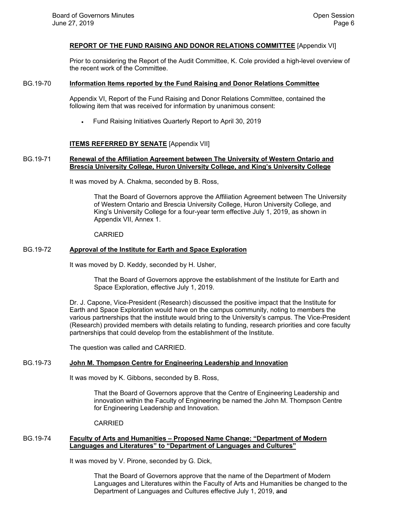# **REPORT OF THE FUND RAISING AND DONOR RELATIONS COMMITTEE** [Appendix VI]

 Prior to considering the Report of the Audit Committee, K. Cole provided a high-level overview of the recent work of the Committee.

### BG.19-70 **Information Items reported by the Fund Raising and Donor Relations Committee**

 Appendix VI, Report of the Fund Raising and Donor Relations Committee, contained the following item that was received for information by unanimous consent:

Fund Raising Initiatives Quarterly Report to April 30, 2019

### **ITEMS REFERRED BY SENATE** [Appendix VII]

### BG.19-71 **Renewal of the Affiliation Agreement between The University of Western Ontario and Brescia University College, Huron University College, and King's University College**

It was moved by A. Chakma, seconded by B. Ross,

That the Board of Governors approve the Affiliation Agreement between The University of Western Ontario and Brescia University College, Huron University College, and King's University College for a four-year term effective July 1, 2019, as shown in Appendix VII, Annex 1.

#### CARRIED

#### BG.19-72 **Approval of the Institute for Earth and Space Exploration**

It was moved by D. Keddy, seconded by H. Usher,

That the Board of Governors approve the establishment of the Institute for Earth and Space Exploration, effective July 1, 2019.

Dr. J. Capone, Vice-President (Research) discussed the positive impact that the Institute for Earth and Space Exploration would have on the campus community, noting to members the various partnerships that the institute would bring to the University's campus. The Vice-President (Research) provided members with details relating to funding, research priorities and core faculty partnerships that could develop from the establishment of the Institute.

The question was called and CARRIED.

#### BG.19-73 **John M. Thompson Centre for Engineering Leadership and Innovation**

It was moved by K. Gibbons, seconded by B. Ross,

That the Board of Governors approve that the Centre of Engineering Leadership and innovation within the Faculty of Engineering be named the John M. Thompson Centre for Engineering Leadership and Innovation.

#### CARRIED

### BG.19-74 **Faculty of Arts and Humanities – Proposed Name Change: "Department of Modern Languages and Literatures" to "Department of Languages and Cultures"**

It was moved by V. Pirone, seconded by G. Dick,

That the Board of Governors approve that the name of the Department of Modern Languages and Literatures within the Faculty of Arts and Humanities be changed to the Department of Languages and Cultures effective July 1, 2019, and